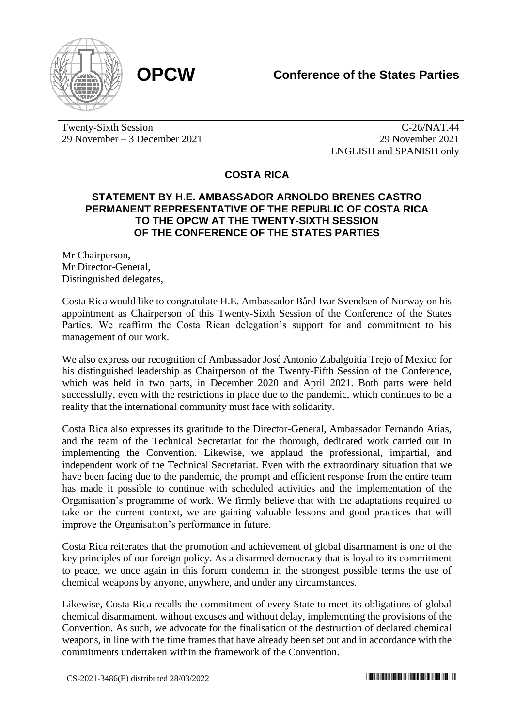

Twenty-Sixth Session 29 November – 3 December 2021

C-26/NAT.44 29 November 2021 ENGLISH and SPANISH only

**COSTA RICA**

## **STATEMENT BY H.E. AMBASSADOR ARNOLDO BRENES CASTRO PERMANENT REPRESENTATIVE OF THE REPUBLIC OF COSTA RICA TO THE OPCW AT THE TWENTY-SIXTH SESSION OF THE CONFERENCE OF THE STATES PARTIES**

Mr Chairperson, Mr Director-General, Distinguished delegates,

Costa Rica would like to congratulate H.E. Ambassador Bård Ivar Svendsen of Norway on his appointment as Chairperson of this Twenty-Sixth Session of the Conference of the States Parties. We reaffirm the Costa Rican delegation's support for and commitment to his management of our work.

We also express our recognition of Ambassador José Antonio Zabalgoitia Trejo of Mexico for his distinguished leadership as Chairperson of the Twenty-Fifth Session of the Conference, which was held in two parts, in December 2020 and April 2021. Both parts were held successfully, even with the restrictions in place due to the pandemic, which continues to be a reality that the international community must face with solidarity.

Costa Rica also expresses its gratitude to the Director-General, Ambassador Fernando Arias, and the team of the Technical Secretariat for the thorough, dedicated work carried out in implementing the Convention. Likewise, we applaud the professional, impartial, and independent work of the Technical Secretariat. Even with the extraordinary situation that we have been facing due to the pandemic, the prompt and efficient response from the entire team has made it possible to continue with scheduled activities and the implementation of the Organisation's programme of work. We firmly believe that with the adaptations required to take on the current context, we are gaining valuable lessons and good practices that will improve the Organisation's performance in future.

Costa Rica reiterates that the promotion and achievement of global disarmament is one of the key principles of our foreign policy. As a disarmed democracy that is loyal to its commitment to peace, we once again in this forum condemn in the strongest possible terms the use of chemical weapons by anyone, anywhere, and under any circumstances.

Likewise, Costa Rica recalls the commitment of every State to meet its obligations of global chemical disarmament, without excuses and without delay, implementing the provisions of the Convention. As such, we advocate for the finalisation of the destruction of declared chemical weapons, in line with the time frames that have already been set out and in accordance with the commitments undertaken within the framework of the Convention.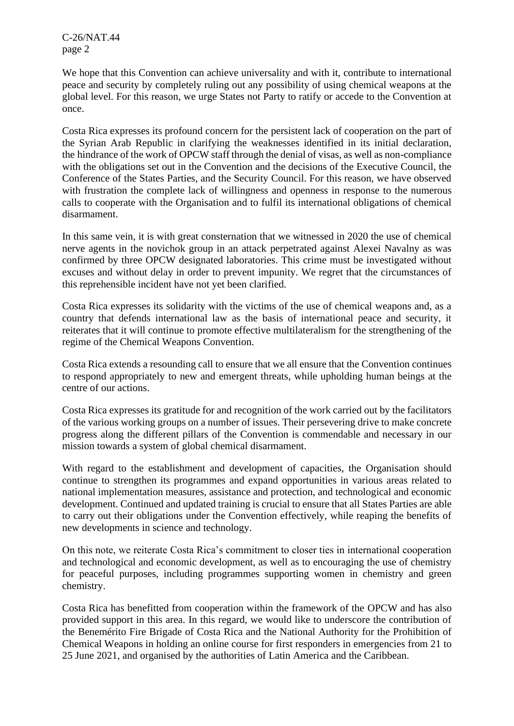C-26/NAT.44 page 2

We hope that this Convention can achieve universality and with it, contribute to international peace and security by completely ruling out any possibility of using chemical weapons at the global level. For this reason, we urge States not Party to ratify or accede to the Convention at once.

Costa Rica expresses its profound concern for the persistent lack of cooperation on the part of the Syrian Arab Republic in clarifying the weaknesses identified in its initial declaration, the hindrance of the work of OPCW staff through the denial of visas, as well as non-compliance with the obligations set out in the Convention and the decisions of the Executive Council, the Conference of the States Parties, and the Security Council. For this reason, we have observed with frustration the complete lack of willingness and openness in response to the numerous calls to cooperate with the Organisation and to fulfil its international obligations of chemical disarmament.

In this same vein, it is with great consternation that we witnessed in 2020 the use of chemical nerve agents in the novichok group in an attack perpetrated against Alexei Navalny as was confirmed by three OPCW designated laboratories. This crime must be investigated without excuses and without delay in order to prevent impunity. We regret that the circumstances of this reprehensible incident have not yet been clarified.

Costa Rica expresses its solidarity with the victims of the use of chemical weapons and, as a country that defends international law as the basis of international peace and security, it reiterates that it will continue to promote effective multilateralism for the strengthening of the regime of the Chemical Weapons Convention.

Costa Rica extends a resounding call to ensure that we all ensure that the Convention continues to respond appropriately to new and emergent threats, while upholding human beings at the centre of our actions.

Costa Rica expresses its gratitude for and recognition of the work carried out by the facilitators of the various working groups on a number of issues. Their persevering drive to make concrete progress along the different pillars of the Convention is commendable and necessary in our mission towards a system of global chemical disarmament.

With regard to the establishment and development of capacities, the Organisation should continue to strengthen its programmes and expand opportunities in various areas related to national implementation measures, assistance and protection, and technological and economic development. Continued and updated training is crucial to ensure that all States Parties are able to carry out their obligations under the Convention effectively, while reaping the benefits of new developments in science and technology.

On this note, we reiterate Costa Rica's commitment to closer ties in international cooperation and technological and economic development, as well as to encouraging the use of chemistry for peaceful purposes, including programmes supporting women in chemistry and green chemistry.

Costa Rica has benefitted from cooperation within the framework of the OPCW and has also provided support in this area. In this regard, we would like to underscore the contribution of the Benemérito Fire Brigade of Costa Rica and the National Authority for the Prohibition of Chemical Weapons in holding an online course for first responders in emergencies from 21 to 25 June 2021, and organised by the authorities of Latin America and the Caribbean.